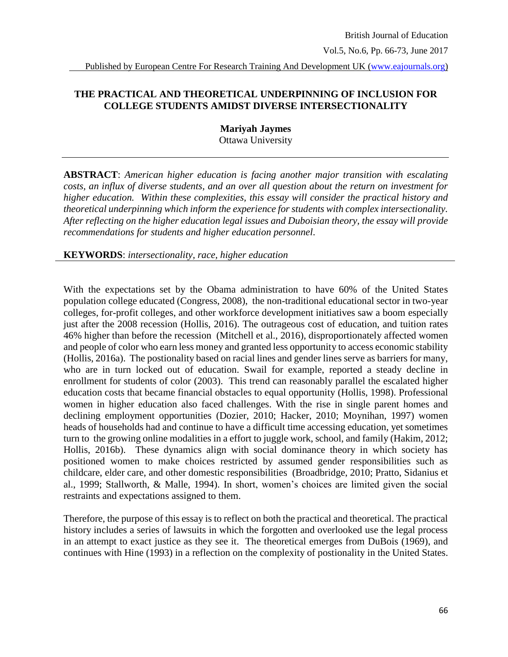British Journal of Education Vol.5, No.6, Pp. 66-73, June 2017

Published by European Centre For Research Training And Development UK (www.eajournals.org)

### **THE PRACTICAL AND THEORETICAL UNDERPINNING OF INCLUSION FOR COLLEGE STUDENTS AMIDST DIVERSE INTERSECTIONALITY**

**Mariyah Jaymes** Ottawa University

**ABSTRACT**: *American higher education is facing another major transition with escalating costs, an influx of diverse students, and an over all question about the return on investment for higher education. Within these complexities, this essay will consider the practical history and theoretical underpinning which inform the experience for students with complex intersectionality. After reflecting on the higher education legal issues and Duboisian theory, the essay will provide recommendations for students and higher education personnel*.

**KEYWORDS**: *intersectionality, race, higher education*

With the expectations set by the Obama administration to have 60% of the United States population college educated (Congress, 2008), the non-traditional educational sector in two-year colleges, for-profit colleges, and other workforce development initiatives saw a boom especially just after the 2008 recession (Hollis, 2016). The outrageous cost of education, and tuition rates 46% higher than before the recession (Mitchell et al., 2016), disproportionately affected women and people of color who earn less money and granted less opportunity to access economic stability (Hollis, 2016a). The postionality based on racial lines and gender lines serve as barriers for many, who are in turn locked out of education. Swail for example, reported a steady decline in enrollment for students of color (2003). This trend can reasonably parallel the escalated higher education costs that became financial obstacles to equal opportunity (Hollis, 1998). Professional women in higher education also faced challenges. With the rise in single parent homes and declining employment opportunities (Dozier, 2010; Hacker, 2010; Moynihan, 1997) women heads of households had and continue to have a difficult time accessing education, yet sometimes turn to the growing online modalities in a effort to juggle work, school, and family (Hakim, 2012; Hollis, 2016b). These dynamics align with social dominance theory in which society has positioned women to make choices restricted by assumed gender responsibilities such as childcare, elder care, and other domestic responsibilities (Broadbridge, 2010; Pratto, Sidanius et al., 1999; Stallworth, & Malle, 1994). In short, women's choices are limited given the social restraints and expectations assigned to them.

Therefore, the purpose of this essay is to reflect on both the practical and theoretical. The practical history includes a series of lawsuits in which the forgotten and overlooked use the legal process in an attempt to exact justice as they see it. The theoretical emerges from DuBois (1969), and continues with Hine (1993) in a reflection on the complexity of postionality in the United States.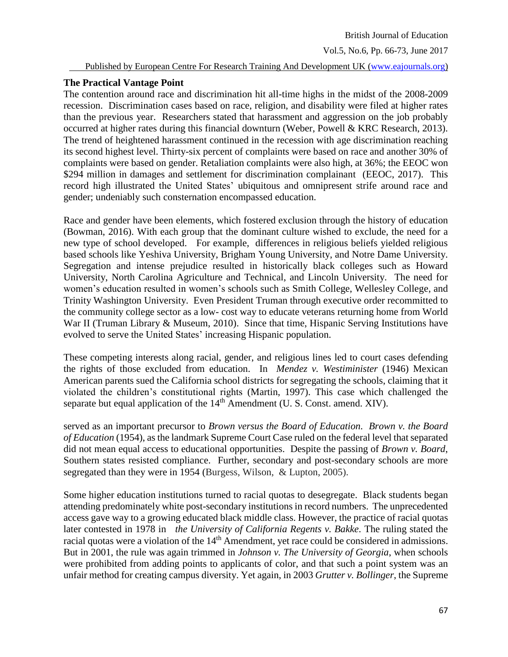Vol.5, No.6, Pp. 66-73, June 2017

#### Published by European Centre For Research Training And Development UK (www.eajournals.org)

#### **The Practical Vantage Point**

The contention around race and discrimination hit all-time highs in the midst of the 2008-2009 recession. Discrimination cases based on race, religion, and disability were filed at higher rates than the previous year. Researchers stated that harassment and aggression on the job probably occurred at higher rates during this financial downturn (Weber, Powell & KRC Research, 2013). The trend of heightened harassment continued in the recession with age discrimination reaching its second highest level. Thirty-six percent of complaints were based on race and another 30% of complaints were based on gender. Retaliation complaints were also high, at 36%; the EEOC won \$294 million in damages and settlement for discrimination complainant (EEOC, 2017). This record high illustrated the United States' ubiquitous and omnipresent strife around race and gender; undeniably such consternation encompassed education.

Race and gender have been elements, which fostered exclusion through the history of education (Bowman, 2016). With each group that the dominant culture wished to exclude, the need for a new type of school developed. For example, differences in religious beliefs yielded religious based schools like Yeshiva University, Brigham Young University, and Notre Dame University. Segregation and intense prejudice resulted in historically black colleges such as Howard University, North Carolina Agriculture and Technical, and Lincoln University. The need for women's education resulted in women's schools such as Smith College, Wellesley College, and Trinity Washington University. Even President Truman through executive order recommitted to the community college sector as a low- cost way to educate veterans returning home from World War II (Truman Library & Museum, 2010). Since that time, Hispanic Serving Institutions have evolved to serve the United States' increasing Hispanic population.

These competing interests along racial, gender, and religious lines led to court cases defending the rights of those excluded from education. In *Mendez v. Westiminister* (1946) Mexican American parents sued the California school districts for segregating the schools, claiming that it violated the children's constitutional rights (Martin, 1997). This case which challenged the separate but equal application of the 14<sup>th</sup> Amendment (U. S. Const. amend. XIV).

served as an important precursor to *Brown versus the Board of Education. Brown v. the Board of Education* (1954), as the landmark Supreme Court Case ruled on the federal level that separated did not mean equal access to educational opportunities. Despite the passing of *Brown v. Board*, Southern states resisted compliance. Further, secondary and post-secondary schools are more segregated than they were in 1954 (Burgess, Wilson, & Lupton, 2005).

Some higher education institutions turned to racial quotas to desegregate. Black students began attending predominately white post-secondary institutions in record numbers. The unprecedented access gave way to a growing educated black middle class. However, the practice of racial quotas later contested in 1978 in *the University of California Regents v. Bakke*. The ruling stated the racial quotas were a violation of the 14<sup>th</sup> Amendment, yet race could be considered in admissions. But in 2001, the rule was again trimmed in *Johnson v. The University of Georgia*, when schools were prohibited from adding points to applicants of color, and that such a point system was an unfair method for creating campus diversity. Yet again, in 2003 *Grutter v. Bollinger*, the Supreme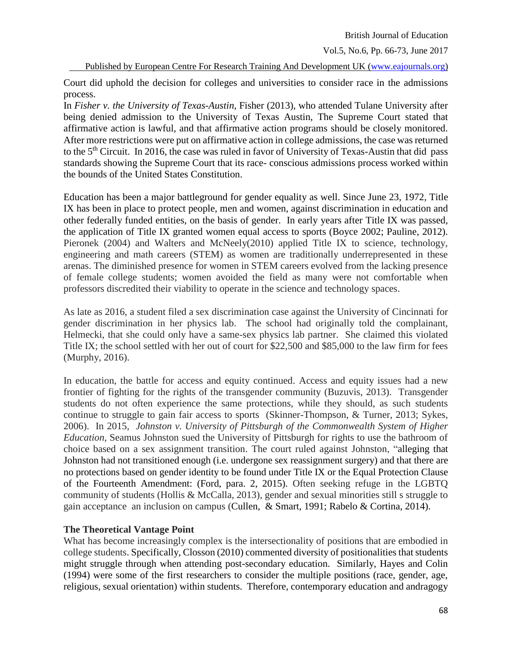#### Vol.5, No.6, Pp. 66-73, June 2017

Published by European Centre For Research Training And Development UK (www.eajournals.org)

Court did uphold the decision for colleges and universities to consider race in the admissions process.

In *Fisher v. the University of Texas-Austin*, Fisher (2013), who attended Tulane University after being denied admission to the University of Texas Austin, The Supreme Court stated that affirmative action is lawful, and that affirmative action programs should be closely monitored. After more restrictions were put on affirmative action in college admissions, the case was returned to the 5<sup>th</sup> Circuit. In 2016, the case was ruled in favor of University of Texas-Austin that did pass standards showing the Supreme Court that its race- conscious admissions process worked within the bounds of the United States Constitution.

Education has been a major battleground for gender equality as well. Since June 23, 1972, Title IX has been in place to protect people, men and women, against discrimination in education and other federally funded entities, on the basis of gender. In early years after Title IX was passed, the application of Title IX granted women equal access to sports (Boyce 2002; Pauline, 2012). Pieronek (2004) and Walters and McNeely(2010) applied Title IX to science, technology, engineering and math careers (STEM) as women are traditionally underrepresented in these arenas. The diminished presence for women in STEM careers evolved from the lacking presence of female college students; women avoided the field as many were not comfortable when professors discredited their viability to operate in the science and technology spaces.

As late as 2016, a student filed a sex discrimination case against the University of Cincinnati for gender discrimination in her physics lab. The school had originally told the complainant, Helmecki, that she could only have a same-sex physics lab partner. She claimed this violated Title IX; the school settled with her out of court for \$22,500 and \$85,000 to the law firm for fees (Murphy, 2016).

In education, the battle for access and equity continued. Access and equity issues had a new frontier of fighting for the rights of the transgender community (Buzuvis, 2013). Transgender students do not often experience the same protections, while they should, as such students continue to struggle to gain fair access to sports (Skinner-Thompson, & Turner, 2013; Sykes, 2006). In 2015, *Johnston v. University of Pittsburgh of the Commonwealth System of Higher Education,* Seamus Johnston sued the University of Pittsburgh for rights to use the bathroom of choice based on a sex assignment transition. The court ruled against Johnston, "alleging that Johnston had not transitioned enough (i.e. undergone sex reassignment surgery) and that there are no protections based on gender identity to be found under Title IX or the Equal Protection Clause of the Fourteenth Amendment: (Ford, para. 2, 2015). Often seeking refuge in the LGBTQ community of students (Hollis & McCalla, 2013), gender and sexual minorities still s struggle to gain acceptance an inclusion on campus (Cullen, & Smart, 1991; Rabelo & Cortina, 2014).

# **The Theoretical Vantage Point**

What has become increasingly complex is the intersectionality of positions that are embodied in college students. Specifically, Closson (2010) commented diversity of positionalities that students might struggle through when attending post-secondary education. Similarly, Hayes and Colin (1994) were some of the first researchers to consider the multiple positions (race, gender, age, religious, sexual orientation) within students. Therefore, contemporary education and andragogy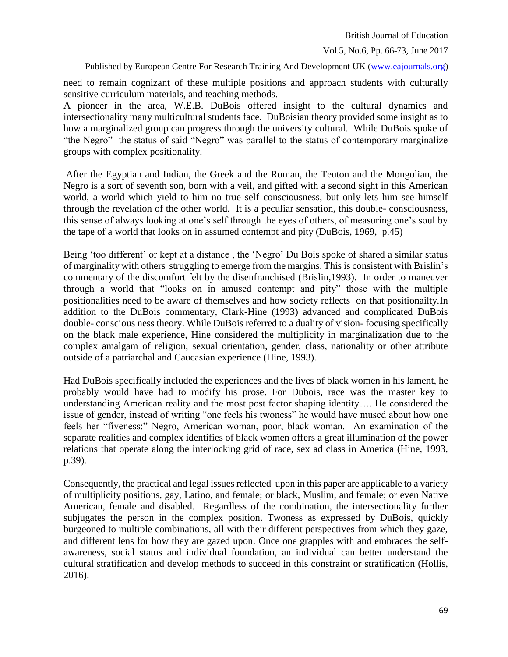Vol.5, No.6, Pp. 66-73, June 2017

Published by European Centre For Research Training And Development UK (www.eajournals.org)

need to remain cognizant of these multiple positions and approach students with culturally sensitive curriculum materials, and teaching methods.

A pioneer in the area, W.E.B. DuBois offered insight to the cultural dynamics and intersectionality many multicultural students face. DuBoisian theory provided some insight as to how a marginalized group can progress through the university cultural. While DuBois spoke of "the Negro" the status of said "Negro" was parallel to the status of contemporary marginalize groups with complex positionality.

After the Egyptian and Indian, the Greek and the Roman, the Teuton and the Mongolian, the Negro is a sort of seventh son, born with a veil, and gifted with a second sight in this American world, a world which yield to him no true self consciousness, but only lets him see himself through the revelation of the other world. It is a peculiar sensation, this double- consciousness, this sense of always looking at one's self through the eyes of others, of measuring one's soul by the tape of a world that looks on in assumed contempt and pity (DuBois, 1969, p.45)

Being 'too different' or kept at a distance , the 'Negro' Du Bois spoke of shared a similar status of marginality with others struggling to emerge from the margins. This is consistent with Brislin's commentary of the discomfort felt by the disenfranchised (Brislin,1993). In order to maneuver through a world that "looks on in amused contempt and pity" those with the multiple positionalities need to be aware of themselves and how society reflects on that positionailty.In addition to the DuBois commentary, Clark-Hine (1993) advanced and complicated DuBois double- conscious ness theory. While DuBois referred to a duality of vision- focusing specifically on the black male experience, Hine considered the multiplicity in marginalization due to the complex amalgam of religion, sexual orientation, gender, class, nationality or other attribute outside of a patriarchal and Caucasian experience (Hine, 1993).

Had DuBois specifically included the experiences and the lives of black women in his lament, he probably would have had to modify his prose. For Dubois, race was the master key to understanding American reality and the most post factor shaping identity…. He considered the issue of gender, instead of writing "one feels his twoness" he would have mused about how one feels her "fiveness:" Negro, American woman, poor, black woman. An examination of the separate realities and complex identifies of black women offers a great illumination of the power relations that operate along the interlocking grid of race, sex ad class in America (Hine, 1993, p.39).

Consequently, the practical and legal issues reflected upon in this paper are applicable to a variety of multiplicity positions, gay, Latino, and female; or black, Muslim, and female; or even Native American, female and disabled. Regardless of the combination, the intersectionality further subjugates the person in the complex position. Twoness as expressed by DuBois, quickly burgeoned to multiple combinations, all with their different perspectives from which they gaze, and different lens for how they are gazed upon. Once one grapples with and embraces the selfawareness, social status and individual foundation, an individual can better understand the cultural stratification and develop methods to succeed in this constraint or stratification (Hollis, 2016).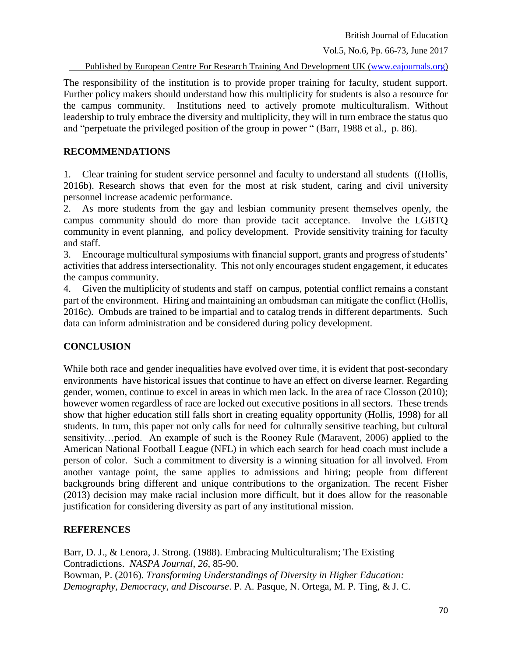Vol.5, No.6, Pp. 66-73, June 2017

Published by European Centre For Research Training And Development UK (www.eajournals.org)

The responsibility of the institution is to provide proper training for faculty, student support. Further policy makers should understand how this multiplicity for students is also a resource for the campus community. Institutions need to actively promote multiculturalism. Without leadership to truly embrace the diversity and multiplicity, they will in turn embrace the status quo and "perpetuate the privileged position of the group in power " (Barr, 1988 et al., p. 86).

### **RECOMMENDATIONS**

1. Clear training for student service personnel and faculty to understand all students ((Hollis, 2016b). Research shows that even for the most at risk student, caring and civil university personnel increase academic performance.

2. As more students from the gay and lesbian community present themselves openly, the campus community should do more than provide tacit acceptance. Involve the LGBTQ community in event planning, and policy development. Provide sensitivity training for faculty and staff.

3. Encourage multicultural symposiums with financial support, grants and progress of students' activities that address intersectionality. This not only encourages student engagement, it educates the campus community.

4. Given the multiplicity of students and staff on campus, potential conflict remains a constant part of the environment. Hiring and maintaining an ombudsman can mitigate the conflict (Hollis, 2016c). Ombuds are trained to be impartial and to catalog trends in different departments. Such data can inform administration and be considered during policy development.

# **CONCLUSION**

While both race and gender inequalities have evolved over time, it is evident that post-secondary environments have historical issues that continue to have an effect on diverse learner. Regarding gender, women, continue to excel in areas in which men lack. In the area of race Closson (2010); however women regardless of race are locked out executive positions in all sectors. These trends show that higher education still falls short in creating equality opportunity (Hollis, 1998) for all students. In turn, this paper not only calls for need for culturally sensitive teaching, but cultural sensitivity…period. An example of such is the Rooney Rule (Maravent, 2006) applied to the American National Football League (NFL) in which each search for head coach must include a person of color. Such a commitment to diversity is a winning situation for all involved. From another vantage point, the same applies to admissions and hiring; people from different backgrounds bring different and unique contributions to the organization. The recent Fisher (2013) decision may make racial inclusion more difficult, but it does allow for the reasonable justification for considering diversity as part of any institutional mission.

# **REFERENCES**

Barr, D. J., & Lenora, J. Strong. (1988). Embracing Multiculturalism; The Existing Contradictions. *NASPA Journal*, *26*, 85-90. Bowman, P. (2016). *Transforming Understandings of Diversity in Higher Education: Demography, Democracy, and Discourse*. P. A. Pasque, N. Ortega, M. P. Ting, & J. C.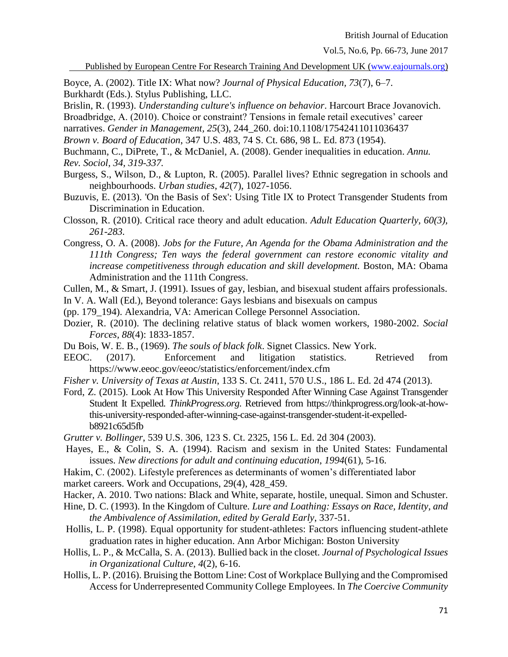Vol.5, No.6, Pp. 66-73, June 2017

Published by European Centre For Research Training And Development UK (www.eajournals.org)

Boyce, A. (2002). Title IX: What now? *Journal of Physical Education, 73*(7), 6–7.

Burkhardt (Eds.). Stylus Publishing, LLC.

Brislin, R. (1993). *Understanding culture's influence on behavior*. Harcourt Brace Jovanovich.

Broadbridge, A. (2010). Choice or constraint? Tensions in female retail executives' career

narratives. *Gender in Management, 25*(3), 244\_260. doi:10.1108/17542411011036437

*Brown v. Board of Education*, 347 U.S. 483, 74 S. Ct. 686, 98 L. Ed. 873 (1954).

Buchmann, C., DiPrete, T., & McDaniel, A. (2008). Gender inequalities in education. *Annu. Rev. Sociol, 34, 319-337.*

- Burgess, S., Wilson, D., & Lupton, R. (2005). Parallel lives? Ethnic segregation in schools and neighbourhoods. *Urban studies*, *42*(7), 1027-1056.
- Buzuvis, E. (2013). 'On the Basis of Sex': Using Title IX to Protect Transgender Students from Discrimination in Education.
- Closson, R. (2010). Critical race theory and adult education. *Adult Education Quarterly, 60(3), 261-283.*
- Congress, O. A. (2008). *Jobs for the Future, An Agenda for the Obama Administration and the 111th Congress; Ten ways the federal government can restore economic vitality and increase competitiveness through education and skill development.* Boston, MA: Obama Administration and the 111th Congress.
- Cullen, M., & Smart, J. (1991). Issues of gay, lesbian, and bisexual student affairs professionals.
- In V. A. Wall (Ed.), Beyond tolerance: Gays lesbians and bisexuals on campus

(pp. 179\_194). Alexandria, VA: American College Personnel Association.

- Dozier, R. (2010). The declining relative status of black women workers, 1980-2002. *Social Forces, 88*(4): 1833-1857.
- Du Bois, W. E. B., (1969). *The souls of black folk*. Signet Classics. New York.
- EEOC. (2017). Enforcement and litigation statistics. Retrieved from https://www.eeoc.gov/eeoc/statistics/enforcement/index.cfm
- *Fisher v. University of Texas at Austin*, 133 S. Ct. 2411, 570 U.S., 186 L. Ed. 2d 474 (2013).

Ford, Z. (2015). Look At How This University Responded After Winning Case Against Transgender Student It Expelled. *ThinkProgress.org*. Retrieved from https://thinkprogress.org/look-at-howthis-university-responded-after-winning-case-against-transgender-student-it-expelledb8921c65d5fb

*Grutter v. Bollinger*, 539 U.S. 306, 123 S. Ct. 2325, 156 L. Ed. 2d 304 (2003).

- Hayes, E., & Colin, S. A. (1994). Racism and sexism in the United States: Fundamental issues. *New directions for adult and continuing education*, *1994*(61), 5-16.
- Hakim, C. (2002). Lifestyle preferences as determinants of women's differentiated labor
- market careers. Work and Occupations, 29(4), 428\_459.
- Hacker, A. 2010. Two nations: Black and White, separate, hostile, unequal. Simon and Schuster.
- Hine, D. C. (1993). In the Kingdom of Culture. *Lure and Loathing: Essays on Race, Identity, and the Ambivalence of Assimilation, edited by Gerald Early*, 337-51.
- Hollis, L. P. (1998). Equal opportunity for student-athletes: Factors influencing student-athlete graduation rates in higher education. Ann Arbor Michigan: Boston University
- Hollis, L. P., & McCalla, S. A. (2013). Bullied back in the closet. *Journal of Psychological Issues in Organizational Culture*, *4*(2), 6-16.
- Hollis, L. P. (2016). Bruising the Bottom Line: Cost of Workplace Bullying and the Compromised Access for Underrepresented Community College Employees. In *The Coercive Community*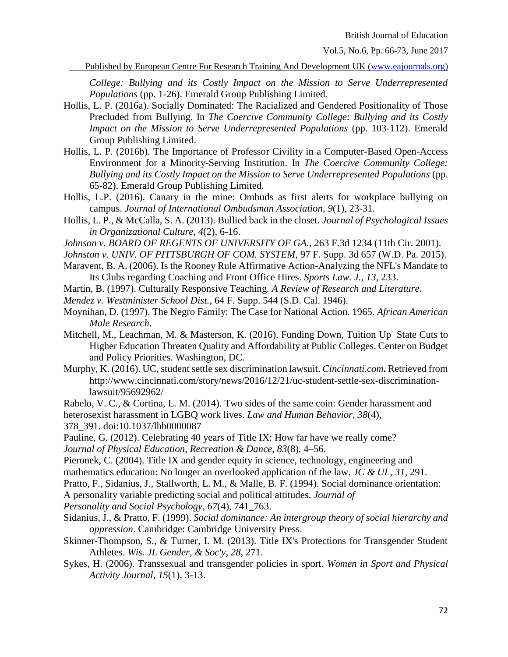Vol.5, No.6, Pp. 66-73, June 2017

Published by European Centre For Research Training And Development UK (www.eajournals.org)

*College: Bullying and its Costly Impact on the Mission to Serve Underrepresented Populations* (pp. 1-26). Emerald Group Publishing Limited.

- Hollis, L. P. (2016a). Socially Dominated: The Racialized and Gendered Positionality of Those Precluded from Bullying. In *The Coercive Community College: Bullying and its Costly Impact on the Mission to Serve Underrepresented Populations* (pp. 103-112). Emerald Group Publishing Limited.
- Hollis, L. P. (2016b). The Importance of Professor Civility in a Computer-Based Open-Access Environment for a Minority-Serving Institution. In *The Coercive Community College: Bullying and its Costly Impact on the Mission to Serve Underrepresented Populations* (pp. 65-82). Emerald Group Publishing Limited.
- Hollis, L.P. (2016). Canary in the mine: Ombuds as first alerts for workplace bullying on campus. *Journal of International Ombudsman Association*, *9*(1), 23-31.
- Hollis, L. P., & McCalla, S. A. (2013). Bullied back in the closet. *Journal of Psychological Issues in Organizational Culture*, *4*(2), 6-16.
- *Johnson v. BOARD OF REGENTS OF UNIVERSITY OF GA.*, 263 F.3d 1234 (11th Cir. 2001).
- *Johnston v. UNIV. OF PITTSBURGH OF COM. SYSTEM*, 97 F. Supp. 3d 657 (W.D. Pa. 2015).
- Maravent, B. A. (2006). Is the Rooney Rule Affirmative Action-Analyzing the NFL's Mandate to Its Clubs regarding Coaching and Front Office Hires. *Sports Law. J.*, *13*, 233.
- Martin, B. (1997). Culturally Responsive Teaching. *A Review of Research and Literature*.
- *Mendez v. Westminister School Dist.*, 64 F. Supp. 544 (S.D. Cal. 1946).
- Moynihan, D. (1997). The Negro Family: The Case for National Action. 1965. *African American Male Research*.
- Mitchell, M., Leachman, M. & Masterson, K. (2016). Funding Down, Tuition Up State Cuts to Higher Education Threaten Quality and Affordability at Public Colleges. Center on Budget and Policy Priorities. Washington, DC.
- Murphy, K. (2016). UC, student settle sex discrimination lawsuit. *Cincinnati.com***.** Retrieved from http://www.cincinnati.com/story/news/2016/12/21/uc-student-settle-sex-discriminationlawsuit/95692962/

Rabelo, V. C., & Cortina, L. M. (2014). Two sides of the same coin: Gender harassment and heterosexist harassment in LGBQ work lives. *Law and Human Behavior, 38*(4),

378\_391. doi:10.1037/lhb0000087

Pauline, G. (2012). Celebrating 40 years of Title IX: How far have we really come?

*Journal of Physical Education, Recreation & Dance, 83*(8), 4–56.

Pieronek, C. (2004). Title IX and gender equity in science, technology, engineering and

mathematics education: No longer an overlooked application of the law. *JC & UL*, *31*, 291.

Pratto, F., Sidanius, J., Stallworth, L. M., & Malle, B. F. (1994). Social dominance orientation:

A personality variable predicting social and political attitudes. *Journal of*

*Personality and Social Psychology, 67*(4), 741\_763.

- Sidanius, J., & Pratto, F. (1999). *Social dominance: An intergroup theory of social hierarchy and oppression*. Cambridge: Cambridge University Press.
- Skinner-Thompson, S., & Turner, I. M. (2013). Title IX's Protections for Transgender Student Athletes. *Wis. JL Gender, & Soc'y*, *28*, 271.
- Sykes, H. (2006). Transsexual and transgender policies in sport. *Women in Sport and Physical Activity Journal*, *15*(1), 3-13.